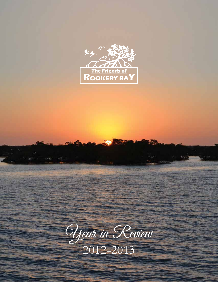

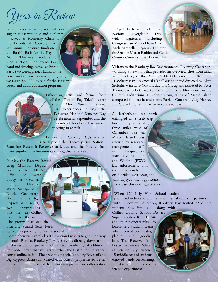Year in Review

Guy Harvey – artist, scientist, diver, angler, conservationist and explorer – served as Honorary Chair of the Friends of Rookery Bay's 4th annual signature fundraiser, the Batfish Bash for the Bay, in March. The event included a silent auction, Olde Florida fare, band and dancing, as well as Patron Party two weeks prior. Thanks to the generosity of our sponsors and guests, we raised \$64,000 to benefit the Reserve's youth and adult education programs.



Fisherman, artist and former host of the "Tarpon Bay Tales" fishing show Alex Suescun shared his experiences during the Reserve's National Estuaries Day celebration in September and the Friends of Rookery Bay annual meeting in March.

Friends of Rookery Bay's mission is to support the Rookery Bay National Estuarine Research Reserve's activities, and the Reserve had many significant achievements during this fiscal year.

In May, the Reserve hosted Greg Munson, Deputy Secretary for DEP's Office of Water Policy as well as the South Florida Water Management District Governing Board and the Big Cypress Basin Board, two organizations that met in Collier County for the first time. The groups discussed the Picayune Strand State Forest restoration project, the first of several

Comprehensive Everglades Restoration Projects to get underway in south Florida. Rookery Bay Reserve is directly downstream of the restoration project and a direct beneficiary of additional freshwater flows that will arrive when the first pumping station comes online in fall. The previous month, Rookery Bay staff and Big Cypress Basin staff visited each other's properties to better understand the impact of the restoration project on both entities. In April, the Reserve celebrated National Everglades Day with dignitaries including Congressman Mario Diaz-Balart; Zach Zampella, Regional Director for Senator Marco Rubio; and Collier County Commissioner Donna Fiala.

Visitors to the Rookery Bay Environmental Learning Center are watching a new film that provides an overview shot from land, water and sky of the Reserve's 110,000 acres. The 10-minute "Rookery Bay – A Special Place" was shot and directed by Elam Stoltzfus with Live Oak Production Group and narrated by Peter Thomas, who both worked on the previous film shown in the Center's auditorium. J. Robert Houghtaling of Marco Island composed the music and score. Fabien Cousteau, Guy Harvey and Clyde Butcher make cameo appearances.

A leatherback sea turtle entangled in a crab trap line approximately three miles west of Caxambas Pass on Marco Island was rescued by resource management staff in cooperation with Florida Fish and Wildlife (FWC) law enforcement. This species is rarely found on Florida's west coast, and staff enjoyed the opportunity to release this endangered species.

When 120 Lely High School students produced video shorts on environmental topics in partnership with Discovery Education, Rookery Bay hosted 22 of the students plus families – along with

Collier County School District Superintendent Kamela Patton and other district faculty – to honor five student teams who received certificates, plaques and goodie bags. The Reserve also hosted its annual "Girls in Science Day," where 15 middle school students enjoyed hands-on learning, a boat trip in the Reserve and science experiments.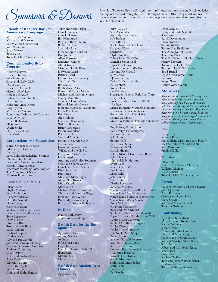$S_{\textit{poundsats}}$   $\epsilon$  Danots  $\sum_{\text{intulate all supports}}$ 

### **Friends of Rookery Bay 25th Anniversary Campaign**

Marilyn McCollister Marco Island Marriott See Mantees Guaranteed John Passidomo Rose Marina Trucks, Inc. Turrell, Hall & Associates, Inc.

### **Commemorative Brick Program**

Alberto Chavez Robert Dunbar Julie Edmister Brian and Carly Gibb David Gordley Robert E. Grinnell Harold "Skip" Lee Amelia Horadam Bob and Vickie Hutchins Gina Lostracco Mike and Linda Kropp Gary Lytton Marilyn McCollister Randy and Deborah McCormick Susan A. Miller Bruce Robertson Jill Schmid Uschi Seyler Up a Creek Kayak Janel Vasallo

### **Corporations and Foundations**

Bond, Schoeneck & King Edison State College Iberiabank Larry Schmidt/Lakeland-Schmidt Stewardship Fund Leadership Collier Foundation Marriott International Microsoft Matching Gifts Program The Arlington of Naples Walmart Foundation

# **Individual Donations**

Ellen Adams Phyllis Andersen Judy Anderson Robert Anderson Dorothy Arnold Hope Bailey Marilyn Bartlett William and Joanne Beach Gene and Sandy Benevenuto Tony Bernosky Diny Bielher Elizabeth Black Troy and Lori Buhs Susan Calkins Richard Capiola Cindy Carroll Ray and Pat Carroll John and Carolyn Chesney Peter and Christine Connors Andrew Cumming Susan Dalton Keith and Barbara Dameron Alice Davis Warren Deakins Charlotte Dijohn Julie Edminster Craig and Kathy Fenton

Terry and Vicki Fisher Chuck Freeman Chuck Gainan Jim Hamburge Roy and Betty Helms Robin Holland Scott Hopkins John and Judy Hushon Bob Jones Allen Kassman Laurence Kenner Albert Knox Mike and Linda Kropp DeWayne Laird Patricia Laird Joe and Kathy Leavesley Tara L. McGras Jim Massa RuthMarie Mitsch Frank and Nancy Mores Michael and Raleigh Morris Nancy Mundth Steve and Lynn Mutart Bill and Jennifer Owens John and Kathleen Passidomo Edith Pendleton Eric Price Alec Pulling Hampton Randolph William Rheiner Bruce Robertson Edson Robertson Peter Rotelle Sam and Amy Saad Emilio and Linda Sadez Nicole Sadez James and Joan Schwai Willard and Phyllis Scott Craig and Karla Seibert Dawn Snyder Anthony and Ashley Soloman Steve and Sharda Spahr Chuck and Susan Stauffer Elam Stoltzfus Paul Tateo Mike and Marta Tighe Al and Sue Turner Milda Vaivada Mary Vertin Michaela Vettermann-Sela Thomas and Lorraine Wagor John and Tasha Wilson Paul and Jory Westberry Barry and Debbie Zvibleman

# **In-Kind**

Naples Daily News Southern Wine & Spirits

#### **Batfish Bash for the Bay Sponsors**

Aggressor Fleet Artistic Science Arthrex Fifth Third Bank Guy Harvey, Inc Hamilton Harbor Yacht Club Iberiabank MarineMax **Minto** 

**Batfish Bash Auction Item Donors**

Aggressor Fleet

Friends of Rookery Bay – a  $501(c)(3)$  non-profit organization – gratefully acknowledges the support received from July 1, 2012 through June 30, 2013. Every effort was made to include all supporters. If you note an omission, please contact friends@rookerybay.org or

Jerry Alajajian Alex Alexander Bay Lady Boat Tours Bob Berlam Frank Berna Black Diamond Golf Club Elizabeth Black Bricktop's Clyde Butcher Calusa Pines Golf Club Camellia Street Grill Capri Fish House Captains Lodge and Villas Ray and Pat Carroll Amy Cason CI's on the Bay Cedar Bay Yacht Club Joe Conforti Donald Day Lee Edmiston Everglades National Park Boat Tours Terry Fisher Florida Panther National Wildlife Refuge Guana Tolomato Matanzas National Estuarine Research Reserve Golf Club of the Everglades Dennis Goodman Great Bay National Estuarine Research Reserve Guy Harvey Foundation Hair Design by Avantgarde Hair on the Bay Jack Hanna Havana Cafe Hawthorne Suites Hideout Golf Club Patrick Higgins Hilton Marco Island Beach Resort Hilton Naples John and Judy Hushon Hyatt Place Isles of Capri Marina Ivey House Chris Kelly Jack Kenner Kara Laufer Charlie Lostracco Rebecca Maddox Marco Island Marriott Beach Resort Marco Island Sea Excursions Marco Island Sunshine Booksellers Marco Island Water Sports Doug McLarty MiraMare Ristorante Steve and Lynn Mutart Naples Bay Resort Boat Rentals Naples Harbour - Florida Marina Club Naples Kayak Company Naples Outfitters Company Naples Players Naples Soap Company Old Naples Surf Shop Debra Parfitt Jane and Ronald Peterson Robert of Philadelphia Bruce Robertson Rookery Bay National Estuarine Research Reserve Russell's Clambakes **SCUBAdventures** Emilio and Linda Sadez

Keith Sahm Jose Sanchez Ted Sanchez

Dona Schulte Craig and Karla Seibert Scott Smith Stock Development Elam Stoltzfus Summerfields Tarpon Bay Explorers The Arlington of Naples The Clay Place The Golf Club at Fiddler's Creek Nancy Thorsen Treviso Bay Golf Club Trianon Hotel Old Naples Todd Turrell Up A Creek Kayak Tours Vergina Joseph Wendt Randy Wayne White

# **Members**

*Membership in Friends of Rookery Bay offers many benefits to our supporters while ensuring that these contributions help the Friends support the scientists and educators working at Rookery Bay Reserve. Members at our highest support levels are recognized in our annual report. Learn more about membership and renew online at rookerybay.org/support/membership.*

## **Panther**

Barry Berg Jennifer Kayne Marco Island Marriott Beach Resort Marine Industries Association John Passidomo Frankie Willis

### **Manatee**

Ellen Hill Pelican Bay Rotary Club, Inc. William Rheiner Rose Marina Turrell, Hall & Associates, Inc.

### **Patron**

Robert Davidson and Lynn Yaeger John Epifanio Allen Kassman George and Lynn Sarkus Mary Shevlin John and Marge Tunnell Timothy Webster

### **Contributing**

AJ and Kelly Baldwin Mary Noe and Kevin Castel Kathy Cookman James Cronin Craig and Kathy Fenton Linda and Mike Kropp Robert and Coyeen Lawton Jon and Marilyn McCollister Steve Mutart Albert and Pat Nolan-Knox Janet Price Gary Thomas Richard Walker Tom and Joyce Watts-Fletcher Paul Westberry Tom and Shirley Woolaway